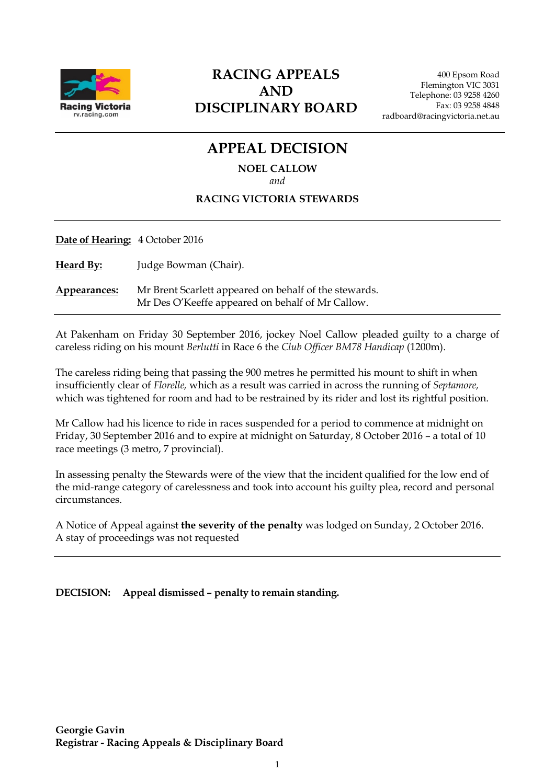

# **RACING APPEALS AND DISCIPLINARY BOARD**

# **APPEAL DECISION NOEL CALLOW**

#### *and*

#### **RACING VICTORIA STEWARDS**

| Date of Hearing: 4 October 2016 |                                                                                                           |
|---------------------------------|-----------------------------------------------------------------------------------------------------------|
| <b>Heard By:</b>                | Judge Bowman (Chair).                                                                                     |
| Appearances:                    | Mr Brent Scarlett appeared on behalf of the stewards.<br>Mr Des O'Keeffe appeared on behalf of Mr Callow. |

At Pakenham on Friday 30 September 2016, jockey Noel Callow pleaded guilty to a charge of careless riding on his mount *Berlutti* in Race 6 the *Club Officer BM78 Handicap* (1200m).

The careless riding being that passing the 900 metres he permitted his mount to shift in when insufficiently clear of *Florelle,* which as a result was carried in across the running of *Septamore,*  which was tightened for room and had to be restrained by its rider and lost its rightful position.

Mr Callow had his licence to ride in races suspended for a period to commence at midnight on Friday, 30 September 2016 and to expire at midnight on Saturday, 8 October 2016 – a total of 10 race meetings (3 metro, 7 provincial).

In assessing penalty the Stewards were of the view that the incident qualified for the low end of the mid-range category of carelessness and took into account his guilty plea, record and personal circumstances.

A Notice of Appeal against **the severity of the penalty** was lodged on Sunday, 2 October 2016. A stay of proceedings was not requested

**DECISION: Appeal dismissed – penalty to remain standing.**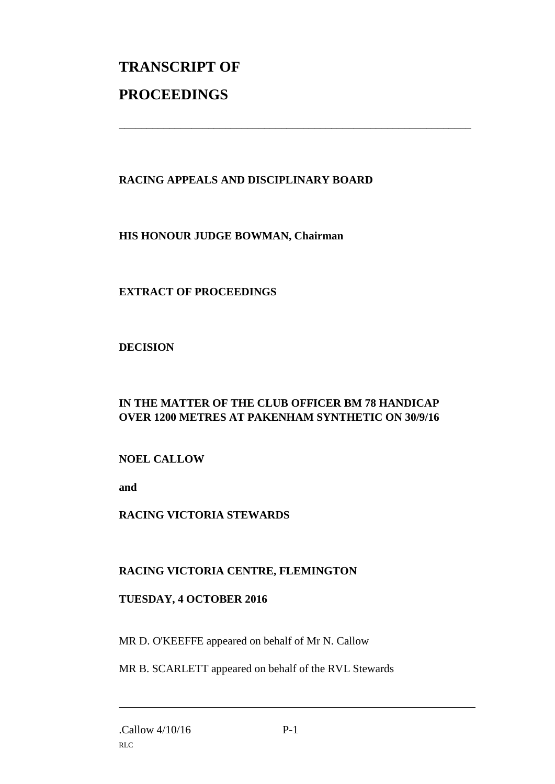# **TRANSCRIPT OF PROCEEDINGS**

#### **RACING APPEALS AND DISCIPLINARY BOARD**

\_\_\_\_\_\_\_\_\_\_\_\_\_\_\_\_\_\_\_\_\_\_\_\_\_\_\_\_\_\_\_\_\_\_\_\_\_\_\_\_\_\_\_\_\_\_\_\_\_\_\_\_\_\_\_\_\_\_\_\_\_\_\_

**HIS HONOUR JUDGE BOWMAN, Chairman**

## **EXTRACT OF PROCEEDINGS**

**DECISION**

## **IN THE MATTER OF THE CLUB OFFICER BM 78 HANDICAP OVER 1200 METRES AT PAKENHAM SYNTHETIC ON 30/9/16**

#### **NOEL CALLOW**

**and** 

#### **RACING VICTORIA STEWARDS**

#### **RACING VICTORIA CENTRE, FLEMINGTON**

#### **TUESDAY, 4 OCTOBER 2016**

MR D. O'KEEFFE appeared on behalf of Mr N. Callow

MR B. SCARLETT appeared on behalf of the RVL Stewards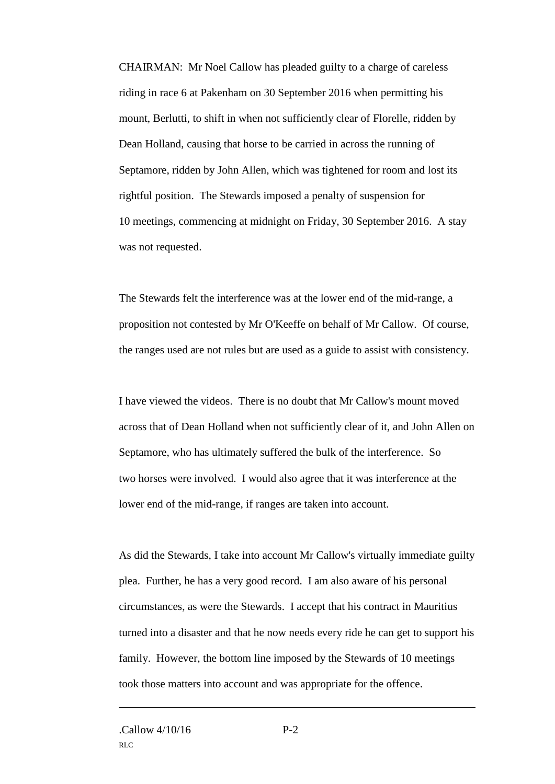CHAIRMAN: Mr Noel Callow has pleaded guilty to a charge of careless riding in race 6 at Pakenham on 30 September 2016 when permitting his mount, Berlutti, to shift in when not sufficiently clear of Florelle, ridden by Dean Holland, causing that horse to be carried in across the running of Septamore, ridden by John Allen, which was tightened for room and lost its rightful position. The Stewards imposed a penalty of suspension for 10 meetings, commencing at midnight on Friday, 30 September 2016. A stay was not requested.

The Stewards felt the interference was at the lower end of the mid-range, a proposition not contested by Mr O'Keeffe on behalf of Mr Callow. Of course, the ranges used are not rules but are used as a guide to assist with consistency.

I have viewed the videos. There is no doubt that Mr Callow's mount moved across that of Dean Holland when not sufficiently clear of it, and John Allen on Septamore, who has ultimately suffered the bulk of the interference. So two horses were involved. I would also agree that it was interference at the lower end of the mid-range, if ranges are taken into account.

As did the Stewards, I take into account Mr Callow's virtually immediate guilty plea. Further, he has a very good record. I am also aware of his personal circumstances, as were the Stewards. I accept that his contract in Mauritius turned into a disaster and that he now needs every ride he can get to support his family. However, the bottom line imposed by the Stewards of 10 meetings took those matters into account and was appropriate for the offence.